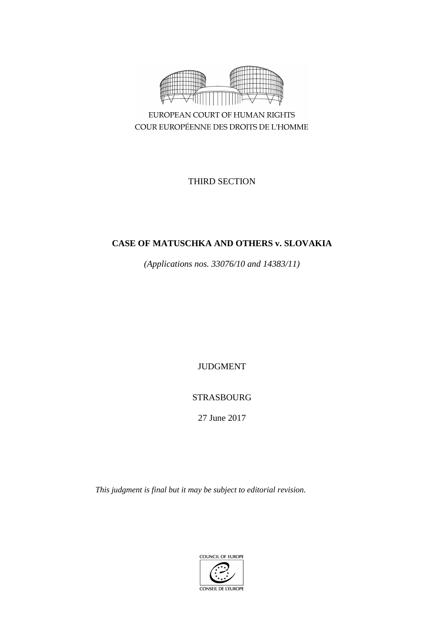

COUR EUROPÉENNE DES DROITS DE L'HOMME

THIRD SECTION

# **CASE OF MATUSCHKA AND OTHERS v. SLOVAKIA**

*(Applications nos. 33076/10 and 14383/11)*

JUDGMENT

STRASBOURG

27 June 2017

*This judgment is final but it may be subject to editorial revision.*

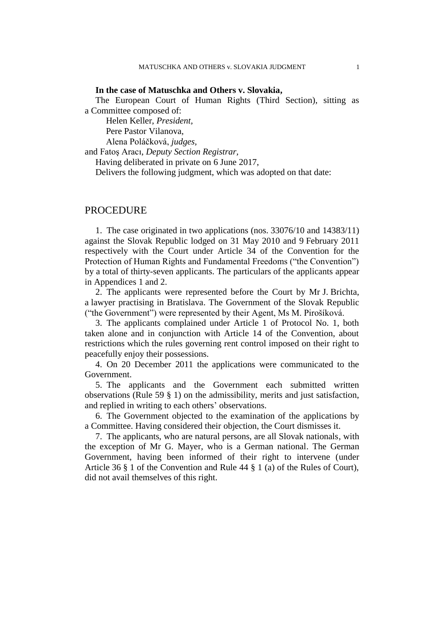#### **In the case of Matuschka and Others v. Slovakia,**

The European Court of Human Rights (Third Section), sitting as a Committee composed of:

Helen Keller, *President,*

Pere Pastor Vilanova,

Alena Poláčková, *judges,*

and Fatoş Aracı, *Deputy Section Registrar,*

Having deliberated in private on 6 June 2017,

Delivers the following judgment, which was adopted on that date:

#### PROCEDURE

1. The case originated in two applications (nos. 33076/10 and 14383/11) against the Slovak Republic lodged on 31 May 2010 and 9 February 2011 respectively with the Court under Article 34 of the Convention for the Protection of Human Rights and Fundamental Freedoms ("the Convention") by a total of thirty-seven applicants. The particulars of the applicants appear in Appendices 1 and 2.

2. The applicants were represented before the Court by Mr J. Brichta, a lawyer practising in Bratislava. The Government of the Slovak Republic ("the Government") were represented by their Agent, Ms M. Pirošíková.

3. The applicants complained under Article 1 of Protocol No. 1, both taken alone and in conjunction with Article 14 of the Convention, about restrictions which the rules governing rent control imposed on their right to peacefully enjoy their possessions.

4. On 20 December 2011 the applications were communicated to the Government.

5. The applicants and the Government each submitted written observations (Rule 59 § 1) on the admissibility, merits and just satisfaction, and replied in writing to each others' observations.

6. The Government objected to the examination of the applications by a Committee. Having considered their objection, the Court dismisses it.

7. The applicants, who are natural persons, are all Slovak nationals, with the exception of Mr G. Mayer, who is a German national. The German Government, having been informed of their right to intervene (under Article 36 § 1 of the Convention and Rule 44 § 1 (a) of the Rules of Court), did not avail themselves of this right.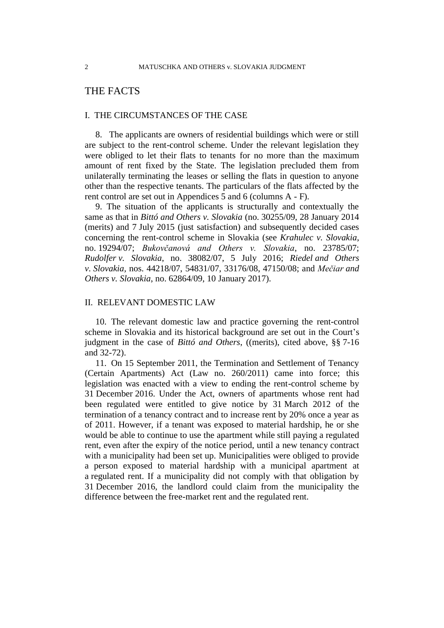## THE FACTS

#### I. THE CIRCUMSTANCES OF THE CASE

8. The applicants are owners of residential buildings which were or still are subject to the rent-control scheme. Under the relevant legislation they were obliged to let their flats to tenants for no more than the maximum amount of rent fixed by the State. The legislation precluded them from unilaterally terminating the leases or selling the flats in question to anyone other than the respective tenants. The particulars of the flats affected by the rent control are set out in Appendices 5 and 6 (columns A - F).

9. The situation of the applicants is structurally and contextually the same as that in *Bittó and Others v. Slovakia* (no. 30255/09, 28 January 2014 (merits) and 7 July 2015 (just satisfaction) and subsequently decided cases concerning the rent-control scheme in Slovakia (see *Krahulec v. Slovakia*, no. 19294/07; *Bukovčanová and Others v. Slovakia*, no. 23785/07; *Rudolfer v. Slovakia*, no. 38082/07, 5 July 2016; *Riedel and Others v. Slovakia,* nos. 44218/07, 54831/07, 33176/08, 47150/08; and *Mečiar and Others v. Slovakia*, no. 62864/09, 10 January 2017).

### II. RELEVANT DOMESTIC LAW

10. The relevant domestic law and practice governing the rent-control scheme in Slovakia and its historical background are set out in the Court's judgment in the case of *Bittó and Others*, ((merits), cited above, §§ 7-16 and 32-72).

<span id="page-3-0"></span>11. On 15 September 2011, the Termination and Settlement of Tenancy (Certain Apartments) Act (Law no. 260/2011) came into force; this legislation was enacted with a view to ending the rent-control scheme by 31 December 2016. Under the Act, owners of apartments whose rent had been regulated were entitled to give notice by 31 March 2012 of the termination of a tenancy contract and to increase rent by 20% once a year as of 2011. However, if a tenant was exposed to material hardship, he or she would be able to continue to use the apartment while still paying a regulated rent, even after the expiry of the notice period, until a new tenancy contract with a municipality had been set up. Municipalities were obliged to provide a person exposed to material hardship with a municipal apartment at a regulated rent. If a municipality did not comply with that obligation by 31 December 2016, the landlord could claim from the municipality the difference between the free-market rent and the regulated rent.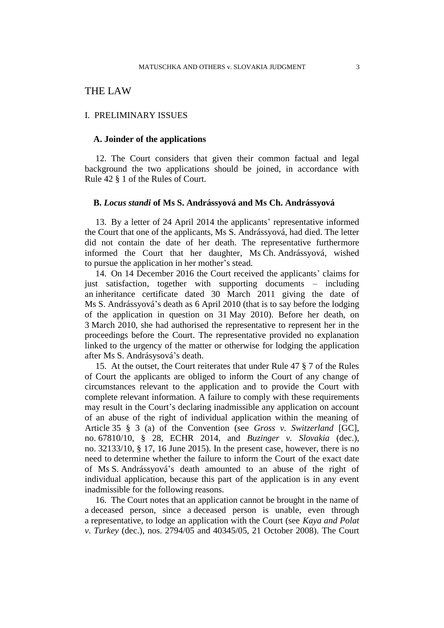## THE LAW

#### I. PRELIMINARY ISSUES

#### **A. Joinder of the applications**

12. The Court considers that given their common factual and legal background the two applications should be joined, in accordance with Rule 42 § 1 of the Rules of Court.

#### **B.** *Locus standi* **of Ms S. Andrássyová and Ms Ch. Andrássyová**

13. By a letter of 24 April 2014 the applicants' representative informed the Court that one of the applicants, Ms S. Andrássyová, had died. The letter did not contain the date of her death. The representative furthermore informed the Court that her daughter, Ms Ch. Andrássyová, wished to pursue the application in her mother's stead.

14. On 14 December 2016 the Court received the applicants' claims for just satisfaction, together with supporting documents – including an inheritance certificate dated 30 March 2011 giving the date of Ms S. Andrássyová's death as 6 April 2010 (that is to say before the lodging of the application in question on 31 May 2010). Before her death, on 3 March 2010, she had authorised the representative to represent her in the proceedings before the Court. The representative provided no explanation linked to the urgency of the matter or otherwise for lodging the application after Ms S. Andrásysová's death.

15. At the outset, the Court reiterates that under Rule 47 § 7 of the Rules of Court the applicants are obliged to inform the Court of any change of circumstances relevant to the application and to provide the Court with complete relevant information. A failure to comply with these requirements may result in the Court's declaring inadmissible any application on account of an abuse of the right of individual application within the meaning of Article 35 § 3 (a) of the Convention (see *Gross v. Switzerland* [GC], no. 67810/10, § 28, ECHR 2014, and *Buzinger v. Slovakia* (dec.), no. 32133/10, § 17, 16 June 2015). In the present case, however, there is no need to determine whether the failure to inform the Court of the exact date of Ms S. Andrássyová's death amounted to an abuse of the right of individual application, because this part of the application is in any event inadmissible for the following reasons.

16. The Court notes that an application cannot be brought in the name of a deceased person, since a deceased person is unable, even through a representative, to lodge an application with the Court (see *Kaya and Polat v. Turkey* (dec.), nos. 2794/05 and 40345/05, 21 October 2008). The Court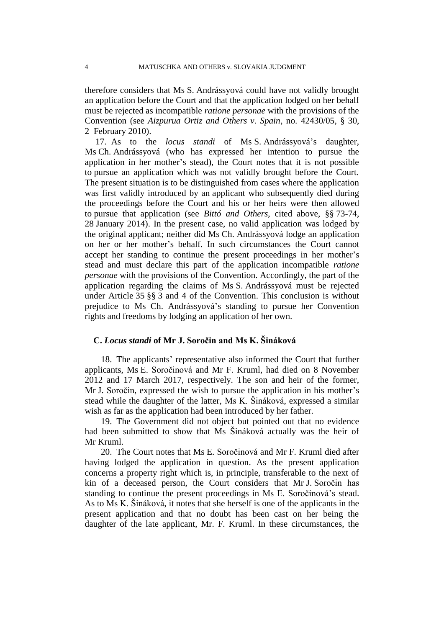therefore considers that Ms S. Andrássyová could have not validly brought an application before the Court and that the application lodged on her behalf must be rejected as incompatible *ratione personae* with the provisions of the Convention (see *Aizpurua Ortiz and Others v. Spain*, no. 42430/05, § 30, 2 February 2010).

17. As to the *locus standi* of Ms S. Andrássyová's daughter, Ms Ch. Andrássyová (who has expressed her intention to pursue the application in her mother's stead), the Court notes that it is not possible to pursue an application which was not validly brought before the Court. The present situation is to be distinguished from cases where the application was first validly introduced by an applicant who subsequently died during the proceedings before the Court and his or her heirs were then allowed to pursue that application (see *Bittó and Others*, cited above, §§ 73-74, 28 January 2014). In the present case, no valid application was lodged by the original applicant; neither did Ms Ch. Andrássyová lodge an application on her or her mother's behalf. In such circumstances the Court cannot accept her standing to continue the present proceedings in her mother's stead and must declare this part of the application incompatible *ratione personae* with the provisions of the Convention. Accordingly, the part of the application regarding the claims of Ms S. Andrássyová must be rejected under Article 35 §§ 3 and 4 of the Convention. This conclusion is without prejudice to Ms Ch. Andrássyová's standing to pursue her Convention rights and freedoms by lodging an application of her own.

### **C.** *Locus standi* **of Mr J. Soročin and Ms K. Šináková**

18. The applicants' representative also informed the Court that further applicants, Ms E. Soročinová and Mr F. Kruml, had died on 8 November 2012 and 17 March 2017, respectively. The son and heir of the former, Mr J. Soročin, expressed the wish to pursue the application in his mother's stead while the daughter of the latter, Ms K. Šináková, expressed a similar wish as far as the application had been introduced by her father.

19. The Government did not object but pointed out that no evidence had been submitted to show that Ms Šináková actually was the heir of Mr Kruml.

20. The Court notes that Ms E. Soročinová and Mr F. Kruml died after having lodged the application in question. As the present application concerns a property right which is, in principle, transferable to the next of kin of a deceased person, the Court considers that Mr J. Soročin has standing to continue the present proceedings in Ms E. Soročinová's stead. As to Ms K. Šináková, it notes that she herself is one of the applicants in the present application and that no doubt has been cast on her being the daughter of the late applicant, Mr. F. Kruml. In these circumstances, the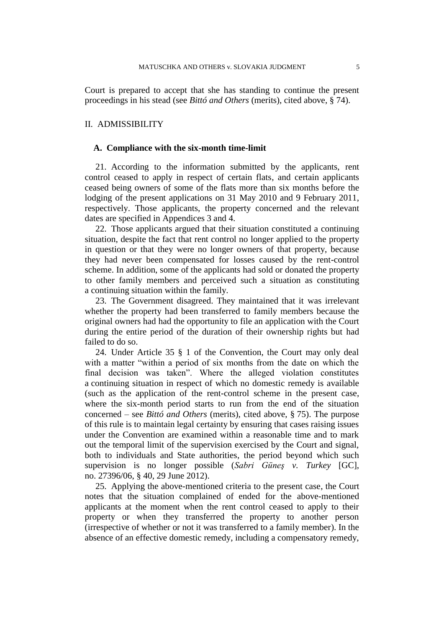Court is prepared to accept that she has standing to continue the present proceedings in his stead (see *Bittó and Others* (merits), cited above, § 74).

#### II. ADMISSIBILITY

#### **A. Compliance with the six-month time-limit**

21. According to the information submitted by the applicants, rent control ceased to apply in respect of certain flats, and certain applicants ceased being owners of some of the flats more than six months before the lodging of the present applications on 31 May 2010 and 9 February 2011, respectively. Those applicants, the property concerned and the relevant dates are specified in Appendices 3 and 4.

22. Those applicants argued that their situation constituted a continuing situation, despite the fact that rent control no longer applied to the property in question or that they were no longer owners of that property, because they had never been compensated for losses caused by the rent-control scheme. In addition, some of the applicants had sold or donated the property to other family members and perceived such a situation as constituting a continuing situation within the family.

23. The Government disagreed. They maintained that it was irrelevant whether the property had been transferred to family members because the original owners had had the opportunity to file an application with the Court during the entire period of the duration of their ownership rights but had failed to do so.

24. Under Article 35 § 1 of the Convention, the Court may only deal with a matter "within a period of six months from the date on which the final decision was taken". Where the alleged violation constitutes a continuing situation in respect of which no domestic remedy is available (such as the application of the rent-control scheme in the present case, where the six-month period starts to run from the end of the situation concerned – see *Bittó and Others* (merits), cited above, § 75). The purpose of this rule is to maintain legal certainty by ensuring that cases raising issues under the Convention are examined within a reasonable time and to mark out the temporal limit of the supervision exercised by the Court and signal, both to individuals and State authorities, the period beyond which such supervision is no longer possible (*Sabri Güneş v. Turkey* [GC], no. 27396/06, § 40, 29 June 2012).

<span id="page-6-0"></span>25. Applying the above-mentioned criteria to the present case, the Court notes that the situation complained of ended for the above-mentioned applicants at the moment when the rent control ceased to apply to their property or when they transferred the property to another person (irrespective of whether or not it was transferred to a family member). In the absence of an effective domestic remedy, including a compensatory remedy,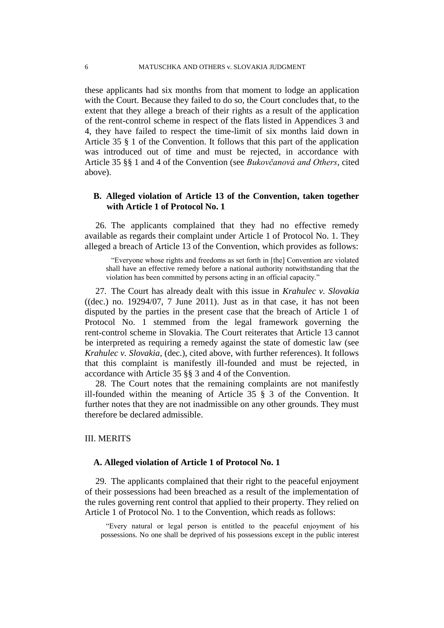these applicants had six months from that moment to lodge an application with the Court. Because they failed to do so, the Court concludes that, to the extent that they allege a breach of their rights as a result of the application of the rent-control scheme in respect of the flats listed in Appendices 3 and 4, they have failed to respect the time-limit of six months laid down in Article 35 § 1 of the Convention. It follows that this part of the application was introduced out of time and must be rejected, in accordance with Article 35 §§ 1 and 4 of the Convention (see *Bukovčanová and Others*, cited above).

### **B. Alleged violation of Article 13 of the Convention, taken together with Article 1 of Protocol No. 1**

26. The applicants complained that they had no effective remedy available as regards their complaint under Article 1 of Protocol No. 1. They alleged a breach of Article 13 of the Convention, which provides as follows:

"Everyone whose rights and freedoms as set forth in [the] Convention are violated shall have an effective remedy before a national authority notwithstanding that the violation has been committed by persons acting in an official capacity."

27. The Court has already dealt with this issue in *Krahulec v. Slovakia*  $((dec.)$  no. 19294/07, 7 June 2011). Just as in that case, it has not been disputed by the parties in the present case that the breach of Article 1 of Protocol No. 1 stemmed from the legal framework governing the rent-control scheme in Slovakia. The Court reiterates that Article 13 cannot be interpreted as requiring a remedy against the state of domestic law (see *Krahulec v. Slovakia,* (dec.), cited above, with further references). It follows that this complaint is manifestly ill-founded and must be rejected, in accordance with Article 35 §§ 3 and 4 of the Convention.

28. The Court notes that the remaining complaints are not manifestly ill-founded within the meaning of Article 35 § 3 of the Convention. It further notes that they are not inadmissible on any other grounds. They must therefore be declared admissible.

### III. MERITS

#### **A. Alleged violation of Article 1 of Protocol No. 1**

29. The applicants complained that their right to the peaceful enjoyment of their possessions had been breached as a result of the implementation of the rules governing rent control that applied to their property. They relied on Article 1 of Protocol No. 1 to the Convention, which reads as follows:

"Every natural or legal person is entitled to the peaceful enjoyment of his possessions. No one shall be deprived of his possessions except in the public interest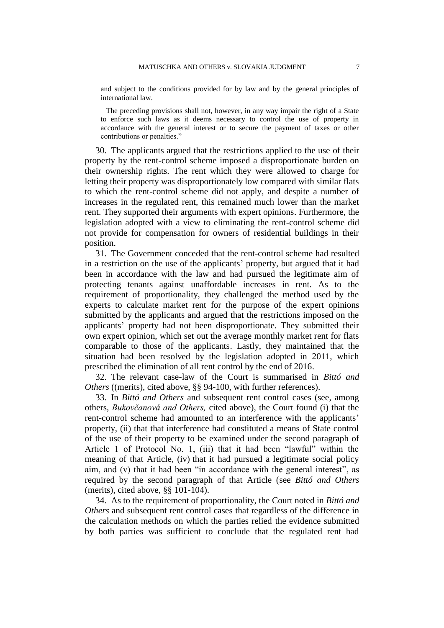and subject to the conditions provided for by law and by the general principles of international law.

The preceding provisions shall not, however, in any way impair the right of a State to enforce such laws as it deems necessary to control the use of property in accordance with the general interest or to secure the payment of taxes or other contributions or penalties."

30. The applicants argued that the restrictions applied to the use of their property by the rent-control scheme imposed a disproportionate burden on their ownership rights. The rent which they were allowed to charge for letting their property was disproportionately low compared with similar flats to which the rent-control scheme did not apply, and despite a number of increases in the regulated rent, this remained much lower than the market rent. They supported their arguments with expert opinions. Furthermore, the legislation adopted with a view to eliminating the rent-control scheme did not provide for compensation for owners of residential buildings in their position.

31. The Government conceded that the rent-control scheme had resulted in a restriction on the use of the applicants' property, but argued that it had been in accordance with the law and had pursued the legitimate aim of protecting tenants against unaffordable increases in rent. As to the requirement of proportionality, they challenged the method used by the experts to calculate market rent for the purpose of the expert opinions submitted by the applicants and argued that the restrictions imposed on the applicants' property had not been disproportionate. They submitted their own expert opinion, which set out the average monthly market rent for flats comparable to those of the applicants. Lastly, they maintained that the situation had been resolved by the legislation adopted in 2011, which prescribed the elimination of all rent control by the end of 2016.

32. The relevant case-law of the Court is summarised in *Bittó and Others* ((merits), cited above, §§ 94-100, with further references).

33. In *Bittó and Others* and subsequent rent control cases (see, among others, *Bukovčanová and Others,* cited above), the Court found (i) that the rent-control scheme had amounted to an interference with the applicants' property, (ii) that that interference had constituted a means of State control of the use of their property to be examined under the second paragraph of Article 1 of Protocol No. 1, (iii) that it had been "lawful" within the meaning of that Article, (iv) that it had pursued a legitimate social policy aim, and (v) that it had been "in accordance with the general interest", as required by the second paragraph of that Article (see *Bittó and Others* (merits), cited above, §§ 101-104).

34. As to the requirement of proportionality, the Court noted in *Bittó and Others* and subsequent rent control cases that regardless of the difference in the calculation methods on which the parties relied the evidence submitted by both parties was sufficient to conclude that the regulated rent had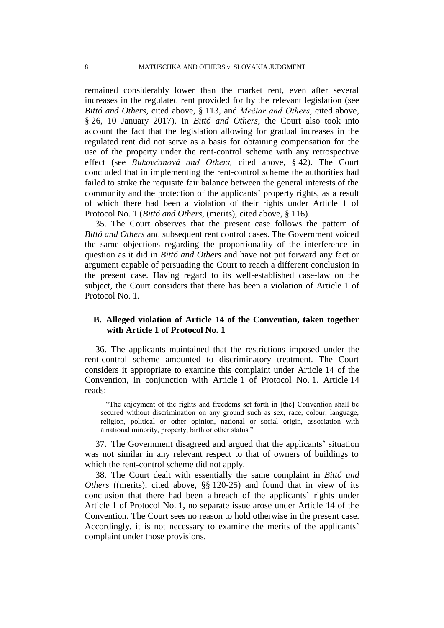remained considerably lower than the market rent, even after several increases in the regulated rent provided for by the relevant legislation (see *Bittó and Others*, cited above, § 113*,* and *Mečiar and Others*, cited above, § 26, 10 January 2017). In *Bittó and Others*, the Court also took into account the fact that the legislation allowing for gradual increases in the regulated rent did not serve as a basis for obtaining compensation for the use of the property under the rent-control scheme with any retrospective effect (see *Bukovčanová and Others,* cited above, § 42). The Court concluded that in implementing the rent-control scheme the authorities had failed to strike the requisite fair balance between the general interests of the community and the protection of the applicants' property rights, as a result of which there had been a violation of their rights under Article 1 of Protocol No. 1 (*Bittó and Others*, (merits), cited above, § 116).

35. The Court observes that the present case follows the pattern of *Bittó and Others* and subsequent rent control cases. The Government voiced the same objections regarding the proportionality of the interference in question as it did in *Bittó and Others* and have not put forward any fact or argument capable of persuading the Court to reach a different conclusion in the present case. Having regard to its well-established case-law on the subject, the Court considers that there has been a violation of Article 1 of Protocol No. 1.

## **B. Alleged violation of Article 14 of the Convention, taken together with Article 1 of Protocol No. 1**

36. The applicants maintained that the restrictions imposed under the rent-control scheme amounted to discriminatory treatment. The Court considers it appropriate to examine this complaint under Article 14 of the Convention, in conjunction with Article 1 of Protocol No. 1. Article 14 reads:

"The enjoyment of the rights and freedoms set forth in [the] Convention shall be secured without discrimination on any ground such as sex, race, colour, language, religion, political or other opinion, national or social origin, association with a national minority, property, birth or other status."

37. The Government disagreed and argued that the applicants' situation was not similar in any relevant respect to that of owners of buildings to which the rent-control scheme did not apply.

38. The Court dealt with essentially the same complaint in *Bittó and Others* ((merits), cited above, §§ 120-25) and found that in view of its conclusion that there had been a breach of the applicants' rights under Article 1 of Protocol No. 1, no separate issue arose under Article 14 of the Convention. The Court sees no reason to hold otherwise in the present case. Accordingly, it is not necessary to examine the merits of the applicants' complaint under those provisions.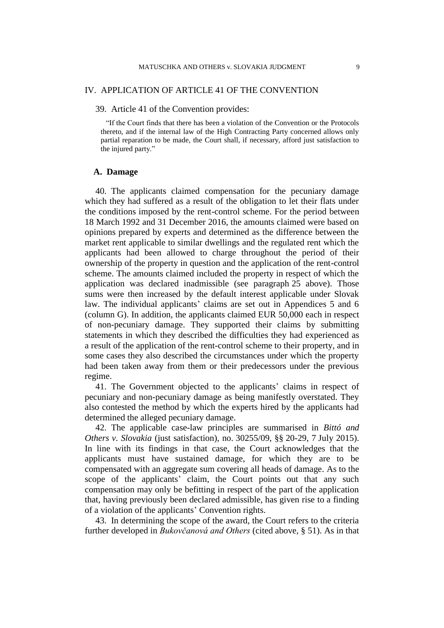#### IV. APPLICATION OF ARTICLE 41 OF THE CONVENTION

39. Article 41 of the Convention provides:

"If the Court finds that there has been a violation of the Convention or the Protocols thereto, and if the internal law of the High Contracting Party concerned allows only partial reparation to be made, the Court shall, if necessary, afford just satisfaction to the injured party."

#### **A. Damage**

40. The applicants claimed compensation for the pecuniary damage which they had suffered as a result of the obligation to let their flats under the conditions imposed by the rent-control scheme. For the period between 18 March 1992 and 31 December 2016, the amounts claimed were based on opinions prepared by experts and determined as the difference between the market rent applicable to similar dwellings and the regulated rent which the applicants had been allowed to charge throughout the period of their ownership of the property in question and the application of the rent-control scheme. The amounts claimed included the property in respect of which the application was declared inadmissible (see paragraph [25](#page-6-0) above). Those sums were then increased by the default interest applicable under Slovak law. The individual applicants' claims are set out in Appendices 5 and 6 (column G). In addition, the applicants claimed EUR 50,000 each in respect of non-pecuniary damage. They supported their claims by submitting statements in which they described the difficulties they had experienced as a result of the application of the rent-control scheme to their property, and in some cases they also described the circumstances under which the property had been taken away from them or their predecessors under the previous regime.

41. The Government objected to the applicants' claims in respect of pecuniary and non-pecuniary damage as being manifestly overstated. They also contested the method by which the experts hired by the applicants had determined the alleged pecuniary damage.

42. The applicable case-law principles are summarised in *Bittó and Others v. Slovakia* (just satisfaction), no. 30255/09, §§ 20-29, 7 July 2015). In line with its findings in that case, the Court acknowledges that the applicants must have sustained damage, for which they are to be compensated with an aggregate sum covering all heads of damage. As to the scope of the applicants' claim, the Court points out that any such compensation may only be befitting in respect of the part of the application that, having previously been declared admissible, has given rise to a finding of a violation of the applicants' Convention rights.

43. In determining the scope of the award, the Court refers to the criteria further developed in *Bukovčanová and Others* (cited above, § 51). As in that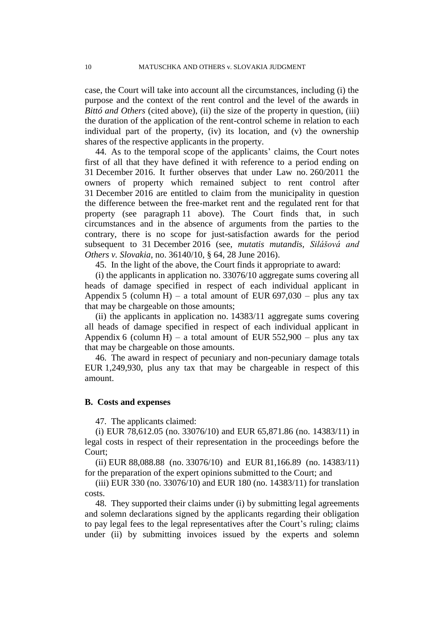case, the Court will take into account all the circumstances, including (i) the purpose and the context of the rent control and the level of the awards in *Bittó and Others* (cited above), (ii) the size of the property in question, (iii) the duration of the application of the rent-control scheme in relation to each individual part of the property, (iv) its location, and (v) the ownership shares of the respective applicants in the property.

44. As to the temporal scope of the applicants' claims, the Court notes first of all that they have defined it with reference to a period ending on 31 December 2016. It further observes that under Law no. 260/2011 the owners of property which remained subject to rent control after 31 December 2016 are entitled to claim from the municipality in question the difference between the free-market rent and the regulated rent for that property (see paragraph [11](#page-3-0) above). The Court finds that, in such circumstances and in the absence of arguments from the parties to the contrary, there is no scope for just-satisfaction awards for the period subsequent to 31 December 2016 (see, *mutatis mutandis, Silášová and Others v. Slovakia*, no. 36140/10, § 64, 28 June 2016).

45. In the light of the above, the Court finds it appropriate to award:

<span id="page-11-0"></span>(i) the applicants in application no. 33076/10 aggregate sums covering all heads of damage specified in respect of each individual applicant in Appendix 5 (column H) – a total amount of EUR  $697,030$  – plus any tax that may be chargeable on those amounts;

(ii) the applicants in application no. 14383/11 aggregate sums covering all heads of damage specified in respect of each individual applicant in Appendix 6 (column H) – a total amount of EUR  $552,900$  – plus any tax that may be chargeable on those amounts.

<span id="page-11-1"></span>46. The award in respect of pecuniary and non-pecuniary damage totals EUR 1,249,930, plus any tax that may be chargeable in respect of this amount.

#### **B. Costs and expenses**

47. The applicants claimed:

(i) EUR 78,612.05 (no. 33076/10) and EUR 65,871.86 (no. 14383/11) in legal costs in respect of their representation in the proceedings before the Court;

(ii) EUR 88,088.88 (no. 33076/10) and EUR 81,166.89 (no. 14383/11) for the preparation of the expert opinions submitted to the Court; and

(iii) EUR 330 (no. 33076/10) and EUR 180 (no. 14383/11) for translation costs.

48. They supported their claims under (i) by submitting legal agreements and solemn declarations signed by the applicants regarding their obligation to pay legal fees to the legal representatives after the Court's ruling; claims under (ii) by submitting invoices issued by the experts and solemn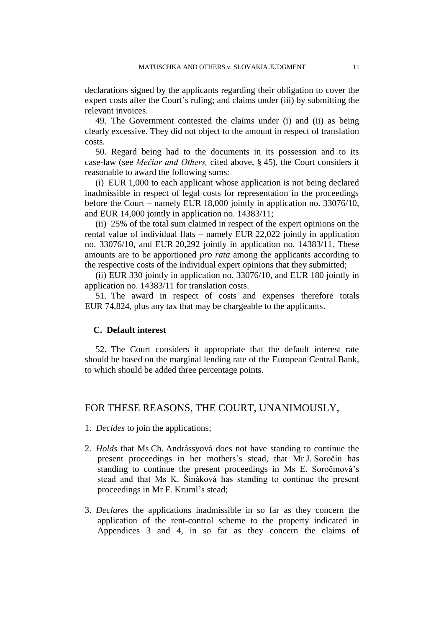declarations signed by the applicants regarding their obligation to cover the expert costs after the Court's ruling; and claims under (iii) by submitting the relevant invoices.

49. The Government contested the claims under (i) and (ii) as being clearly excessive. They did not object to the amount in respect of translation costs.

<span id="page-12-0"></span>50. Regard being had to the documents in its possession and to its case-law (see *Mečiar and Others,* cited above, § 45), the Court considers it reasonable to award the following sums:

(i) EUR 1,000 to each applicant whose application is not being declared inadmissible in respect of legal costs for representation in the proceedings before the Court **–** namely EUR 18,000 jointly in application no. 33076/10, and EUR 14,000 jointly in application no. 14383/11;

(ii) 25% of the total sum claimed in respect of the expert opinions on the rental value of individual flats **–** namely EUR 22,022 jointly in application no. 33076/10, and EUR 20,292 jointly in application no. 14383/11. These amounts are to be apportioned *pro rata* among the applicants according to the respective costs of the individual expert opinions that they submitted;

(ii) EUR 330 jointly in application no. 33076/10, and EUR 180 jointly in application no. 14383/11 for translation costs.

<span id="page-12-1"></span>51. The award in respect of costs and expenses therefore totals EUR 74,824, plus any tax that may be chargeable to the applicants.

#### **C. Default interest**

52. The Court considers it appropriate that the default interest rate should be based on the marginal lending rate of the European Central Bank, to which should be added three percentage points.

### FOR THESE REASONS, THE COURT, UNANIMOUSLY,

- 1. *Decides* to join the applications;
- 2. *Holds* that Ms Ch. Andrássyová does not have standing to continue the present proceedings in her mothers's stead, that Mr J. Soročin has standing to continue the present proceedings in Ms E. Soročinová's stead and that Ms K. Šináková has standing to continue the present proceedings in Mr F. Kruml's stead;
- 3. *Declares* the applications inadmissible in so far as they concern the application of the rent-control scheme to the property indicated in Appendices 3 and 4, in so far as they concern the claims of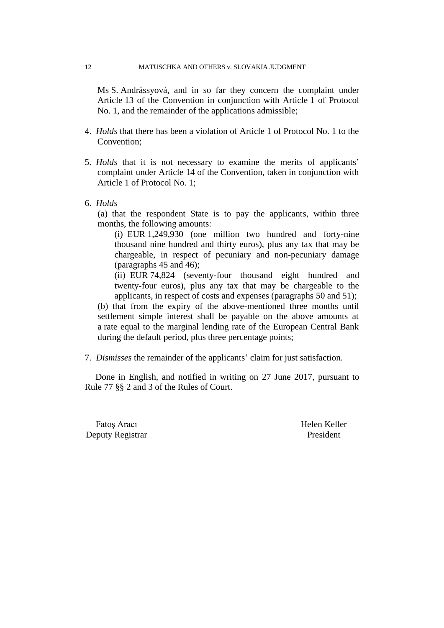Ms S. Andrássyová, and in so far they concern the complaint under Article 13 of the Convention in conjunction with Article 1 of Protocol No. 1, and the remainder of the applications admissible;

- 4. *Holds* that there has been a violation of Article 1 of Protocol No. 1 to the Convention;
- 5. *Holds* that it is not necessary to examine the merits of applicants' complaint under Article 14 of the Convention, taken in conjunction with Article 1 of Protocol No. 1;
- 6. *Holds*

(a) that the respondent State is to pay the applicants, within three months, the following amounts:

(i) EUR 1,249,930 (one million two hundred and forty-nine thousand nine hundred and thirty euros), plus any tax that may be chargeable, in respect of pecuniary and non-pecuniary damage (paragraphs [45](#page-11-0) and [46\)](#page-11-1);

(ii) EUR 74,824 (seventy-four thousand eight hundred and twenty-four euros), plus any tax that may be chargeable to the applicants, in respect of costs and expenses (paragraphs [50](#page-12-0) and [51\)](#page-12-1);

(b) that from the expiry of the above-mentioned three months until settlement simple interest shall be payable on the above amounts at a rate equal to the marginal lending rate of the European Central Bank during the default period, plus three percentage points;

7. *Dismisses* the remainder of the applicants' claim for just satisfaction.

Done in English, and notified in writing on 27 June 2017, pursuant to Rule 77 §§ 2 and 3 of the Rules of Court.

Fatos Aracı **Helen Keller** Deputy Registrar President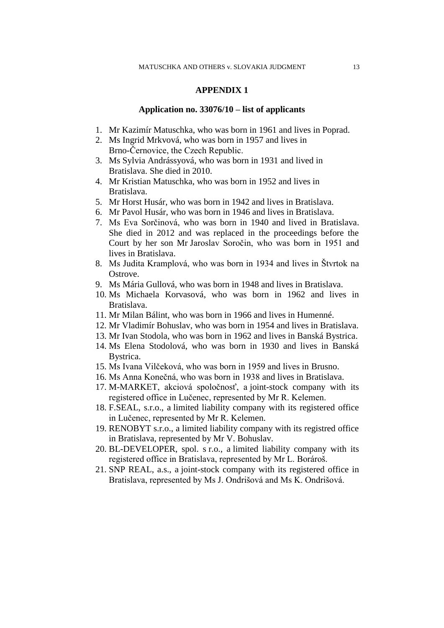#### **Application no. 33076/10 – list of applicants**

- 1. Mr Kazimír Matuschka, who was born in 1961 and lives in Poprad.
- 2. Ms Ingrid Mrkvová, who was born in 1957 and lives in Brno-Černovice, the Czech Republic.
- 3. Ms Sylvia Andrássyová, who was born in 1931 and lived in Bratislava. She died in 2010.
- 4. Mr Kristian Matuschka, who was born in 1952 and lives in Bratislava.
- 5. Mr Horst Husár, who was born in 1942 and lives in Bratislava.
- 6. Mr Pavol Husár, who was born in 1946 and lives in Bratislava.
- 7. Ms Eva Sorčinová, who was born in 1940 and lived in Bratislava. She died in 2012 and was replaced in the proceedings before the Court by her son Mr Jaroslav Soročin, who was born in 1951 and lives in Bratislava.
- 8. Ms Judita Kramplová, who was born in 1934 and lives in Štvrtok na Ostrove.
- 9. Ms Mária Gullová, who was born in 1948 and lives in Bratislava.
- 10. Ms Michaela Korvasová, who was born in 1962 and lives in Bratislava.
- 11. Mr Milan Bálint, who was born in 1966 and lives in Humenné.
- 12. Mr Vladimír Bohuslav, who was born in 1954 and lives in Bratislava.
- 13. Mr Ivan Stodola, who was born in 1962 and lives in Banská Bystrica.
- 14. Ms Elena Stodolová, who was born in 1930 and lives in Banská Bystrica.
- 15. Ms Ivana Vilčeková, who was born in 1959 and lives in Brusno.
- 16. Ms Anna Konečná, who was born in 1938 and lives in Bratislava.
- 17. M-MARKET, akciová spoločnosť, a joint-stock company with its registered office in Lučenec, represented by Mr R. Kelemen.
- 18. F.SEAL, s.r.o., a limited liability company with its registered office in Lučenec, represented by Mr R. Kelemen.
- 19. RENOBYT s.r.o., a limited liability company with its registred office in Bratislava, represented by Mr V. Bohuslav.
- 20. BL-DEVELOPER, spol. s r.o., a limited liability company with its registered office in Bratislava, represented by Mr L. Borároš.
- 21. SNP REAL, a.s., a joint-stock company with its registered office in Bratislava, represented by Ms J. Ondrišová and Ms K. Ondrišová.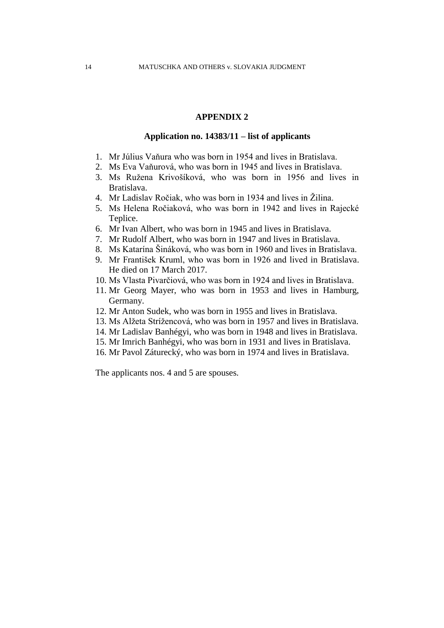#### **Application no. 14383/11 – list of applicants**

- 1. Mr Július Vaňura who was born in 1954 and lives in Bratislava.
- 2. Ms Eva Vaňurová, who was born in 1945 and lives in Bratislava.
- 3. Ms Ružena Krivošíková, who was born in 1956 and lives in Bratislava.
- 4. Mr Ladislav Ročiak, who was born in 1934 and lives in Žilina.
- 5. Ms Helena Ročiaková, who was born in 1942 and lives in Rajecké Teplice.
- 6. Mr Ivan Albert, who was born in 1945 and lives in Bratislava.
- 7. Mr Rudolf Albert, who was born in 1947 and lives in Bratislava.
- 8. Ms Katarína Šináková, who was born in 1960 and lives in Bratislava.
- 9. Mr František Kruml, who was born in 1926 and lived in Bratislava. He died on 17 March 2017.
- 10. Ms Vlasta Pivarčiová, who was born in 1924 and lives in Bratislava.
- 11. Mr Georg Mayer, who was born in 1953 and lives in Hamburg, Germany.
- 12. Mr Anton Sudek, who was born in 1955 and lives in Bratislava.
- 13. Ms Alžeta Strížencová, who was born in 1957 and lives in Bratislava.
- 14. Mr Ladislav Banhégyi, who was born in 1948 and lives in Bratislava.
- 15. Mr Imrich Banhégyi, who was born in 1931 and lives in Bratislava.
- 16. Mr Pavol Záturecký, who was born in 1974 and lives in Bratislava.

The applicants nos. 4 and 5 are spouses.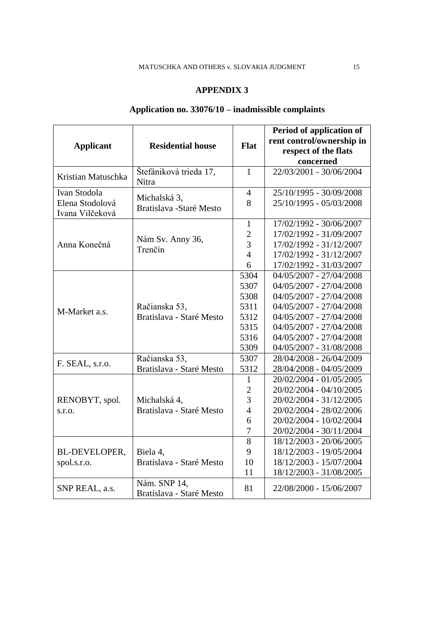# **Application no. 33076/10 – inadmissible complaints**

|                                    |                                          |                | Period of application of  |
|------------------------------------|------------------------------------------|----------------|---------------------------|
| <b>Applicant</b>                   | <b>Residential house</b>                 | <b>Flat</b>    | rent control/ownership in |
|                                    |                                          |                | respect of the flats      |
|                                    |                                          |                | concerned                 |
| Kristian Matuschka                 | Štefániková trieda 17,<br>Nitra          | $\mathbf{1}$   | 22/03/2001 - 30/06/2004   |
| Ivan Stodola                       |                                          | $\overline{4}$ | 25/10/1995 - 30/09/2008   |
| Elena Stodolová<br>Ivana Vilčeková | Michalská 3,<br>Bratislava - Staré Mesto | 8              | 25/10/1995 - 05/03/2008   |
|                                    |                                          | $\mathbf{1}$   | 17/02/1992 - 30/06/2007   |
|                                    |                                          | $\overline{c}$ | 17/02/1992 - 31/09/2007   |
| Anna Konečná                       | Nám Sv. Anny 36,<br>Trenčín              | $\overline{3}$ | 17/02/1992 - 31/12/2007   |
|                                    |                                          | $\overline{4}$ | 17/02/1992 - 31/12/2007   |
|                                    |                                          | 6              | 17/02/1992 - 31/03/2007   |
|                                    |                                          | 5304           | 04/05/2007 - 27/04/2008   |
|                                    |                                          | 5307           | 04/05/2007 - 27/04/2008   |
|                                    |                                          | 5308           | 04/05/2007 - 27/04/2008   |
|                                    | Račianska 53,                            | 5311           | 04/05/2007 - 27/04/2008   |
| M-Market a.s.                      | Bratislava - Staré Mesto                 | 5312           | 04/05/2007 - 27/04/2008   |
|                                    |                                          | 5315           | 04/05/2007 - 27/04/2008   |
|                                    |                                          | 5316           | 04/05/2007 - 27/04/2008   |
|                                    |                                          | 5309           | 04/05/2007 - 31/08/2008   |
| F. SEAL, s.r.o.                    | Račianska 53,                            | 5307           | 28/04/2008 - 26/04/2009   |
|                                    | Bratislava - Staré Mesto                 | 5312           | 28/04/2008 - 04/05/2009   |
|                                    |                                          | $\mathbf{1}$   | 20/02/2004 - 01/05/2005   |
|                                    |                                          | $\overline{2}$ | 20/02/2004 - 04/10/2005   |
| RENOBYT, spol.                     | Michalská 4,                             | $\overline{3}$ | 20/02/2004 - 31/12/2005   |
| S.T.O.                             | Bratislava - Staré Mesto                 | $\overline{4}$ | 20/02/2004 - 28/02/2006   |
|                                    |                                          | 6              | 20/02/2004 - 10/02/2004   |
|                                    |                                          | 7              | 20/02/2004 - 30/11/2004   |
|                                    |                                          | 8              | 18/12/2003 - 20/06/2005   |
| <b>BL-DEVELOPER,</b>               | Biela 4,                                 | 9              | 18/12/2003 - 19/05/2004   |
| spol.s.r.o.                        | Bratislava - Staré Mesto                 | 10             | 18/12/2003 - 15/07/2004   |
|                                    |                                          | 11             | 18/12/2003 - 31/08/2005   |
| SNP REAL, a.s.                     | Nám. SNP 14,<br>Bratislava - Staré Mesto | 81             | 22/08/2000 - 15/06/2007   |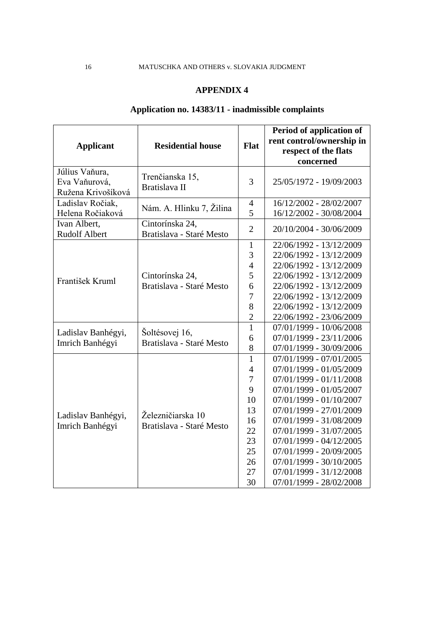# **Application no. 14383/11 - inadmissible complaints**

|                                      |                                             |                | Period of application of  |
|--------------------------------------|---------------------------------------------|----------------|---------------------------|
| <b>Applicant</b>                     | <b>Residential house</b>                    | Flat           | rent control/ownership in |
|                                      |                                             |                | respect of the flats      |
|                                      |                                             |                | concerned                 |
| Július Vaňura,                       | Trenčianska 15,                             |                |                           |
| Eva Vaňurová,                        | Bratislava II                               | 3              | 25/05/1972 - 19/09/2003   |
| Ružena Krivošíková                   |                                             |                |                           |
| Ladislav Ročiak,                     | Nám. A. Hlinku 7, Žilina                    | $\overline{4}$ | 16/12/2002 - 28/02/2007   |
| Helena Ročiaková                     |                                             | 5              | 16/12/2002 - 30/08/2004   |
| Ivan Albert,<br><b>Rudolf Albert</b> | Cintorínska 24,<br>Bratislava - Staré Mesto | $\overline{2}$ | 20/10/2004 - 30/06/2009   |
|                                      |                                             | $\mathbf{1}$   | 22/06/1992 - 13/12/2009   |
|                                      |                                             | 3              | 22/06/1992 - 13/12/2009   |
|                                      |                                             | $\overline{4}$ | 22/06/1992 - 13/12/2009   |
|                                      | Cintorínska 24,                             | 5              | 22/06/1992 - 13/12/2009   |
| František Kruml                      | Bratislava - Staré Mesto                    | 6              | 22/06/1992 - 13/12/2009   |
|                                      |                                             | 7              | 22/06/1992 - 13/12/2009   |
|                                      |                                             | 8              | 22/06/1992 - 13/12/2009   |
|                                      |                                             | $\overline{c}$ | 22/06/1992 - 23/06/2009   |
|                                      |                                             | $\mathbf{1}$   | 07/01/1999 - 10/06/2008   |
| Ladislav Banhégyi,                   | Šoltésovej 16,                              | 6              | 07/01/1999 - 23/11/2006   |
| Imrich Banhégyi                      | Bratislava - Staré Mesto                    | 8              | 07/01/1999 - 30/09/2006   |
|                                      |                                             | $\mathbf{1}$   | $07/01/1999 - 07/01/2005$ |
|                                      |                                             | $\overline{4}$ | 07/01/1999 - 01/05/2009   |
|                                      |                                             | $\tau$         | 07/01/1999 - 01/11/2008   |
|                                      |                                             | 9              | 07/01/1999 - 01/05/2007   |
|                                      |                                             | 10             | 07/01/1999 - 01/10/2007   |
| Ladislav Banhégyi,                   | Železničiarska 10                           | 13             | 07/01/1999 - 27/01/2009   |
| Imrich Banhégyi                      | Bratislava - Staré Mesto                    | 16             | 07/01/1999 - 31/08/2009   |
|                                      |                                             | 22             | 07/01/1999 - 31/07/2005   |
|                                      |                                             | 23             | $07/01/1999 - 04/12/2005$ |
|                                      |                                             | 25             | 07/01/1999 - 20/09/2005   |
|                                      |                                             | 26             | 07/01/1999 - 30/10/2005   |
|                                      |                                             | 27             | 07/01/1999 - 31/12/2008   |
|                                      |                                             | 30             | 07/01/1999 - 28/02/2008   |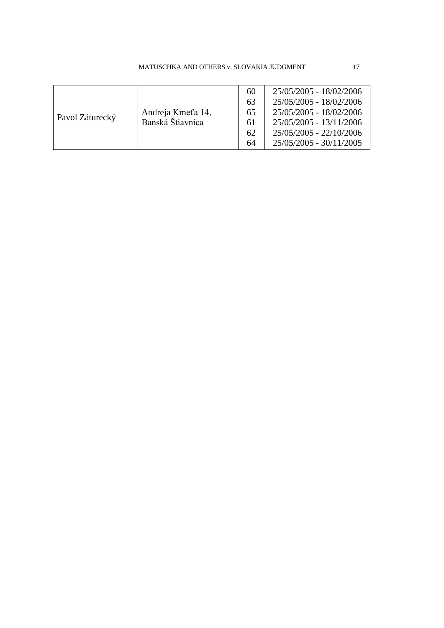| MATUSCHKA AND OTHERS v. SLOVAKIA JUDGMENT |  |
|-------------------------------------------|--|
|                                           |  |

| Pavol Záturecký | Andreja Kmeťa 14,<br>Banská Štiavnica | 60<br>63<br>65<br>61<br>62 | 25/05/2005 - 18/02/2006<br>25/05/2005 - 18/02/2006<br>25/05/2005 - 18/02/2006<br>25/05/2005 - 13/11/2006<br>25/05/2005 - 22/10/2006 |
|-----------------|---------------------------------------|----------------------------|-------------------------------------------------------------------------------------------------------------------------------------|
|                 |                                       |                            |                                                                                                                                     |
|                 |                                       | 64                         | 25/05/2005 - 30/11/2005                                                                                                             |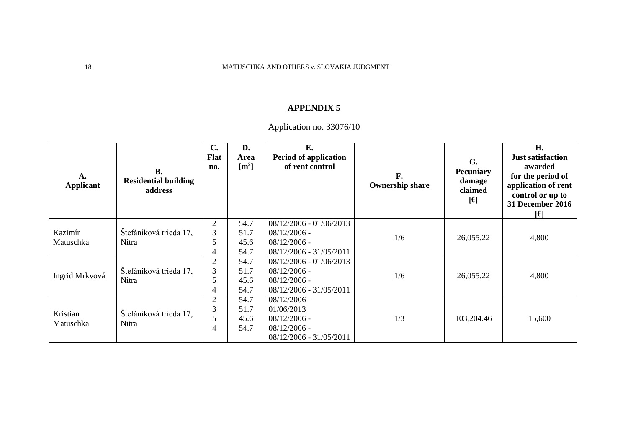Application no. 33076/10

| A.<br><b>Applicant</b> | <b>B.</b><br><b>Residential building</b><br>address | $\mathbf{C}$ .<br><b>Flat</b><br>no.       | D.<br>Area<br>$\lceil m^2 \rceil$ | E.<br>Period of application<br>of rent control                                              | F.<br><b>Ownership share</b> | G.<br><b>Pecuniary</b><br>damage<br>claimed<br>$[\epsilon]$ | H.<br><b>Just satisfaction</b><br>awarded<br>for the period of<br>application of rent<br>control or up to<br><b>31 December 2016</b><br>[6] |
|------------------------|-----------------------------------------------------|--------------------------------------------|-----------------------------------|---------------------------------------------------------------------------------------------|------------------------------|-------------------------------------------------------------|---------------------------------------------------------------------------------------------------------------------------------------------|
| Kazimír<br>Matuschka   | Štefániková trieda 17,<br>Nitra                     | $\overline{2}$<br>3<br>5<br>4              | 54.7<br>51.7<br>45.6<br>54.7      | 08/12/2006 - 01/06/2013<br>$08/12/2006$ -<br>$08/12/2006$ -<br>08/12/2006 - 31/05/2011      | 1/6                          | 26,055.22                                                   | 4,800                                                                                                                                       |
| Ingrid Mrkvová         | Štefániková trieda 17,<br>Nitra                     | $\overline{2}$<br>3<br>5<br>4              | 54.7<br>51.7<br>45.6<br>54.7      | 08/12/2006 - 01/06/2013<br>$08/12/2006$ -<br>$08/12/2006$ -<br>08/12/2006 - 31/05/2011      | 1/6                          | 26,055.22                                                   | 4,800                                                                                                                                       |
| Kristian<br>Matuschka  | Štefániková trieda 17,<br>Nitra                     | $\overline{2}$<br>3<br>5<br>$\overline{4}$ | 54.7<br>51.7<br>45.6<br>54.7      | $08/12/2006 -$<br>01/06/2013<br>$08/12/2006$ -<br>$08/12/2006$ -<br>08/12/2006 - 31/05/2011 | 1/3                          | 103,204.46                                                  | 15,600                                                                                                                                      |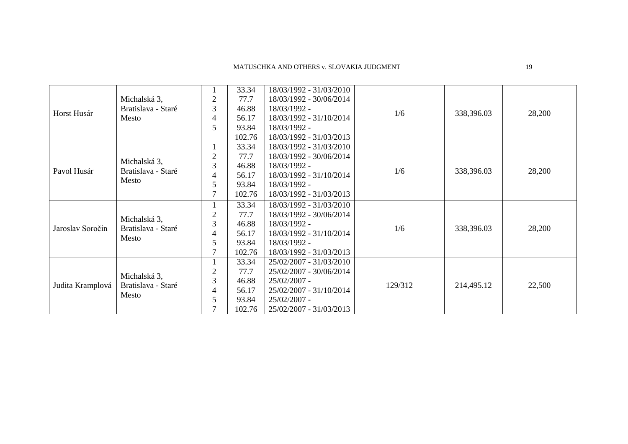|                  |                    |                | 33.34  | 18/03/1992 - 31/03/2010 |         |            |        |
|------------------|--------------------|----------------|--------|-------------------------|---------|------------|--------|
|                  | Michalská 3,       | $\overline{2}$ | 77.7   | 18/03/1992 - 30/06/2014 |         |            |        |
|                  | Bratislava - Staré | 3              | 46.88  | 18/03/1992 -            | 1/6     | 338,396.03 | 28,200 |
| Horst Husár      | Mesto              | 4              | 56.17  | 18/03/1992 - 31/10/2014 |         |            |        |
|                  |                    | 5              | 93.84  | 18/03/1992 -            |         |            |        |
|                  |                    |                | 102.76 | 18/03/1992 - 31/03/2013 |         |            |        |
|                  |                    | $\mathbf{I}$   | 33.34  | 18/03/1992 - 31/03/2010 |         |            |        |
|                  |                    | 2              | 77.7   | 18/03/1992 - 30/06/2014 |         | 338,396.03 | 28,200 |
|                  | Michalská 3,       | 3              | 46.88  | 18/03/1992 -            |         |            |        |
| Pavol Husár      | Bratislava - Staré | 4              | 56.17  | 18/03/1992 - 31/10/2014 | 1/6     |            |        |
|                  | Mesto              | 5              | 93.84  | 18/03/1992 -            |         |            |        |
|                  |                    |                | 102.76 | 18/03/1992 - 31/03/2013 |         |            |        |
|                  |                    |                | 33.34  | 18/03/1992 - 31/03/2010 |         |            |        |
|                  |                    | $\overline{2}$ | 77.7   | 18/03/1992 - 30/06/2014 |         |            |        |
|                  | Michalská 3,       | 3              | 46.88  | 18/03/1992 -            | 1/6     |            |        |
| Jaroslav Soročin | Bratislava - Staré | 4              | 56.17  | 18/03/1992 - 31/10/2014 |         | 338,396.03 | 28,200 |
|                  | Mesto              | 5              | 93.84  | 18/03/1992 -            |         |            |        |
|                  |                    |                | 102.76 | 18/03/1992 - 31/03/2013 |         |            |        |
|                  |                    |                | 33.34  | 25/02/2007 - 31/03/2010 |         |            |        |
|                  | Michalská 3,       | 2              | 77.7   | 25/02/2007 - 30/06/2014 |         |            |        |
|                  | Bratislava - Staré | 3              | 46.88  | 25/02/2007 -            | 129/312 |            |        |
| Judita Kramplová | Mesto              | 4              | 56.17  | 25/02/2007 - 31/10/2014 |         | 214,495.12 | 22,500 |
|                  |                    | 5              | 93.84  | 25/02/2007 -            |         |            |        |
|                  |                    |                | 102.76 | 25/02/2007 - 31/03/2013 |         |            |        |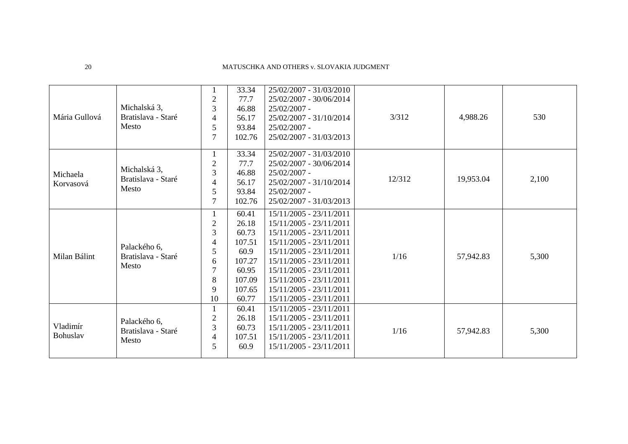| Mária Gullová         | Michalská 3,<br>Bratislava - Staré<br>Mesto | $\overline{2}$<br>3<br>4<br>5<br>7                                   | 33.34<br>77.7<br>46.88<br>56.17<br>93.84<br>102.76                                        | 25/02/2007 - 31/03/2010<br>25/02/2007 - 30/06/2014<br>25/02/2007 -<br>25/02/2007 - 31/10/2014<br>25/02/2007 -<br>25/02/2007 - 31/03/2013                                                                                                                                       | 3/312  | 4,988.26  | 530   |
|-----------------------|---------------------------------------------|----------------------------------------------------------------------|-------------------------------------------------------------------------------------------|--------------------------------------------------------------------------------------------------------------------------------------------------------------------------------------------------------------------------------------------------------------------------------|--------|-----------|-------|
| Michaela<br>Korvasová | Michalská 3,<br>Bratislava - Staré<br>Mesto | 1<br>$\overline{2}$<br>3<br>4<br>5<br>$\overline{7}$                 | 33.34<br>77.7<br>46.88<br>56.17<br>93.84<br>102.76                                        | 25/02/2007 - 31/03/2010<br>25/02/2007 - 30/06/2014<br>$25/02/2007$ -<br>25/02/2007 - 31/10/2014<br>25/02/2007 -<br>25/02/2007 - 31/03/2013                                                                                                                                     | 12/312 | 19,953.04 | 2,100 |
| Milan Bálint          | Palackého 6,<br>Bratislava - Staré<br>Mesto | $\overline{c}$<br>3<br>4<br>5<br>6<br>$\overline{7}$<br>8<br>9<br>10 | 60.41<br>26.18<br>60.73<br>107.51<br>60.9<br>107.27<br>60.95<br>107.09<br>107.65<br>60.77 | 15/11/2005 - 23/11/2011<br>15/11/2005 - 23/11/2011<br>15/11/2005 - 23/11/2011<br>$15/11/2005 - 23/11/2011$<br>15/11/2005 - 23/11/2011<br>15/11/2005 - 23/11/2011<br>$15/11/2005 - 23/11/2011$<br>15/11/2005 - 23/11/2011<br>15/11/2005 - 23/11/2011<br>15/11/2005 - 23/11/2011 | 1/16   | 57,942.83 | 5,300 |
| Vladimír<br>Bohuslav  | Palackého 6,<br>Bratislava - Staré<br>Mesto | $\overline{2}$<br>3<br>4<br>5                                        | 60.41<br>26.18<br>60.73<br>107.51<br>60.9                                                 | 15/11/2005 - 23/11/2011<br>15/11/2005 - 23/11/2011<br>15/11/2005 - 23/11/2011<br>15/11/2005 - 23/11/2011<br>15/11/2005 - 23/11/2011                                                                                                                                            | 1/16   | 57,942.83 | 5,300 |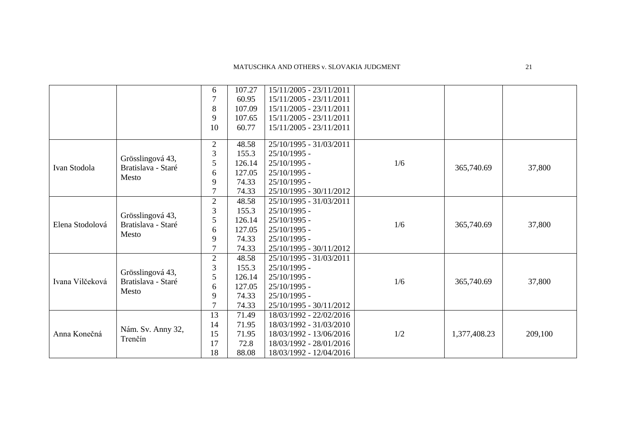|                 |                                        | 6              | 107.27 | 15/11/2005 - 23/11/2011 |     |              |         |
|-----------------|----------------------------------------|----------------|--------|-------------------------|-----|--------------|---------|
|                 |                                        | $\overline{7}$ | 60.95  | 15/11/2005 - 23/11/2011 |     |              |         |
|                 |                                        | 8              | 107.09 | 15/11/2005 - 23/11/2011 |     |              |         |
|                 |                                        | 9              | 107.65 | 15/11/2005 - 23/11/2011 |     |              |         |
|                 |                                        | 10             | 60.77  | 15/11/2005 - 23/11/2011 |     |              |         |
|                 |                                        |                |        |                         |     |              |         |
|                 |                                        | $\overline{2}$ | 48.58  | 25/10/1995 - 31/03/2011 |     |              |         |
|                 | Grösslingová 43,                       | 3              | 155.3  | 25/10/1995 -            |     | 365,740.69   |         |
| Ivan Stodola    | Bratislava - Staré                     | 5              | 126.14 | 25/10/1995 -            | 1/6 |              | 37,800  |
|                 | Mesto                                  | 6              | 127.05 | $25/10/1995$ -          |     |              |         |
|                 |                                        | 9              | 74.33  | $25/10/1995$ -          |     |              |         |
|                 |                                        |                | 74.33  | 25/10/1995 - 30/11/2012 |     |              |         |
|                 |                                        | $\overline{2}$ | 48.58  | 25/10/1995 - 31/03/2011 |     |              |         |
|                 |                                        | 3              | 155.3  | $25/10/1995$ -          | 1/6 |              |         |
| Elena Stodolová | Grösslingová 43,<br>Bratislava - Staré | 5              | 126.14 | $25/10/1995$ -          |     | 365,740.69   | 37,800  |
|                 |                                        | 6              | 127.05 | 25/10/1995 -            |     |              |         |
|                 | Mesto                                  | 9              | 74.33  | $25/10/1995$ -          |     |              |         |
|                 |                                        | 7              | 74.33  | 25/10/1995 - 30/11/2012 |     |              |         |
|                 |                                        | $\mathfrak{2}$ | 48.58  | 25/10/1995 - 31/03/2011 |     |              |         |
|                 |                                        | 3              | 155.3  | $25/10/1995$ -          |     |              |         |
| Ivana Vilčeková | Grösslingová 43,<br>Bratislava - Staré | 5              | 126.14 | $25/10/1995$ -          |     |              |         |
|                 |                                        | 6              | 127.05 | $25/10/1995$ -          | 1/6 | 365,740.69   | 37,800  |
|                 | Mesto                                  | 9              | 74.33  | $25/10/1995$ -          |     |              |         |
|                 |                                        | 7              | 74.33  | 25/10/1995 - 30/11/2012 |     |              |         |
|                 |                                        | 13             | 71.49  | 18/03/1992 - 22/02/2016 |     |              |         |
|                 |                                        | 14             | 71.95  | 18/03/1992 - 31/03/2010 |     |              |         |
| Anna Konečná    | Nám. Sv. Anny 32,                      | 15             | 71.95  | 18/03/1992 - 13/06/2016 | 1/2 | 1,377,408.23 | 209,100 |
|                 | Trenčín                                | 17             | 72.8   | 18/03/1992 - 28/01/2016 |     |              |         |
|                 |                                        | 18             | 88.08  | 18/03/1992 - 12/04/2016 |     |              |         |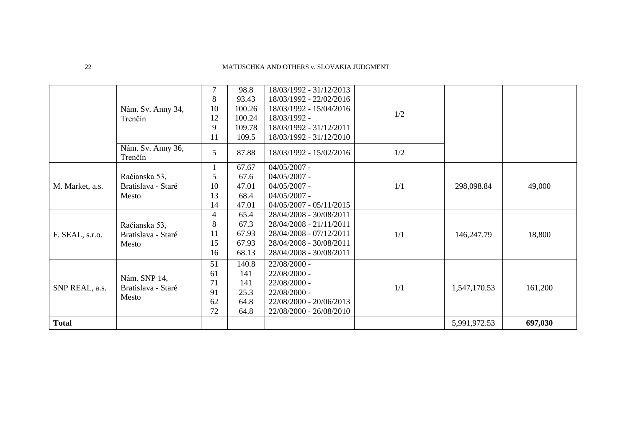|                 | Nám. Sv. Anny 34,<br>Trenčín                 | 7<br>8<br>10<br>12<br>9<br>11                   | 98.8<br>93.43<br>100.26<br>100.24<br>109.78<br>109.5 | 18/03/1992 - 31/12/2013<br>18/03/1992 - 22/02/2016<br>18/03/1992 - 15/04/2016<br>18/03/1992 -<br>18/03/1992 - 31/12/2011<br>18/03/1992 - 31/12/2010 | 1/2 |              |         |
|-----------------|----------------------------------------------|-------------------------------------------------|------------------------------------------------------|-----------------------------------------------------------------------------------------------------------------------------------------------------|-----|--------------|---------|
|                 | Nám. Sv. Anny 36,<br>Trenčín                 | 5                                               | 87.88                                                | 18/03/1992 - 15/02/2016                                                                                                                             | 1/2 |              |         |
| M. Market, a.s. | Račianska 53,<br>Bratislava - Staré<br>Mesto | 1<br>5<br>10<br>13<br>14                        | 67.67<br>67.6<br>47.01<br>68.4<br>47.01              | $04/05/2007$ -<br>$04/05/2007$ -<br>$04/05/2007$ -<br>$04/05/2007$ -<br>$04/05/2007 - 05/11/2015$                                                   | 1/1 | 298,098.84   | 49,000  |
| F. SEAL, s.r.o. | Račianska 53,<br>Bratislava - Staré<br>Mesto | $\overline{\mathcal{A}}$<br>8<br>11<br>15<br>16 | 65.4<br>67.3<br>67.93<br>67.93<br>68.13              | 28/04/2008 - 30/08/2011<br>28/04/2008 - 21/11/2011<br>28/04/2008 - 07/12/2011<br>28/04/2008 - 30/08/2011<br>28/04/2008 - 30/08/2011                 | 1/1 | 146,247.79   | 18,800  |
| SNP REAL, a.s.  | Nám. SNP 14,<br>Bratislava - Staré<br>Mesto  | 51<br>61<br>71<br>91<br>62<br>72                | 140.8<br>141<br>141<br>25.3<br>64.8<br>64.8          | 22/08/2000 -<br>22/08/2000 -<br>22/08/2000 -<br>22/08/2000 -<br>22/08/2000 - 20/06/2013<br>22/08/2000 - 26/08/2010                                  | 1/1 | 1,547,170.53 | 161,200 |
| <b>Total</b>    |                                              |                                                 |                                                      |                                                                                                                                                     |     | 5,991,972.53 | 697,030 |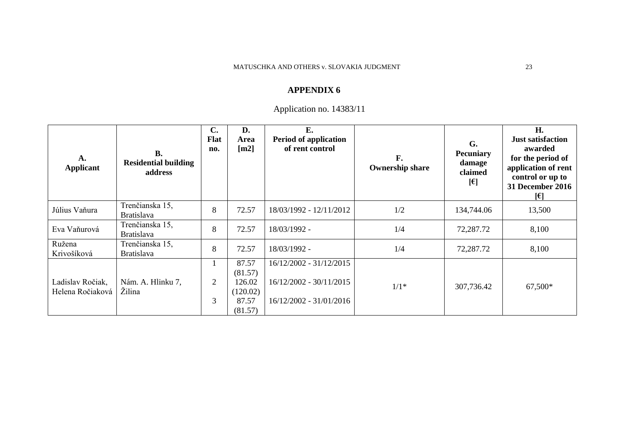# Application no. 14383/11

| A.<br><b>Applicant</b>               | <b>B.</b><br><b>Residential building</b><br>address | C.<br><b>Flat</b><br>no. | D.<br>Area<br>$\lceil m2 \rceil$                | E.<br>Period of application<br>of rent control                                | F.<br><b>Ownership share</b> | G.<br><b>Pecuniary</b><br>damage<br>claimed<br>$[\epsilon]$ | H.<br><b>Just satisfaction</b><br>awarded<br>for the period of<br>application of rent<br>control or up to<br><b>31 December 2016</b><br>l€l |
|--------------------------------------|-----------------------------------------------------|--------------------------|-------------------------------------------------|-------------------------------------------------------------------------------|------------------------------|-------------------------------------------------------------|---------------------------------------------------------------------------------------------------------------------------------------------|
| Július Vaňura                        | Trenčianska 15,<br><b>Bratislava</b>                | 8                        | 72.57                                           | 18/03/1992 - 12/11/2012                                                       | 1/2                          | 134,744.06                                                  | 13,500                                                                                                                                      |
| Eva Vaňurová                         | Trenčianska 15,<br><b>Bratislava</b>                | 8                        | 72.57                                           | 18/03/1992 -                                                                  | 1/4                          | 72,287.72                                                   | 8,100                                                                                                                                       |
| Ružena<br>Krivošíková                | Trenčianska 15,<br><b>Bratislava</b>                | 8                        | 72.57                                           | 18/03/1992 -                                                                  | 1/4                          | 72,287.72                                                   | 8,100                                                                                                                                       |
| Ladislav Ročiak,<br>Helena Ročiaková | Nám. A. Hlinku 7,<br>Žilina                         | 2<br>3                   | 87.57<br>(81.57)<br>126.02<br>(120.02)<br>87.57 | 16/12/2002 - 31/12/2015<br>16/12/2002 - 30/11/2015<br>16/12/2002 - 31/01/2016 | $1/1*$                       | 307,736.42                                                  | 67,500*                                                                                                                                     |
|                                      |                                                     |                          | (81.57)                                         |                                                                               |                              |                                                             |                                                                                                                                             |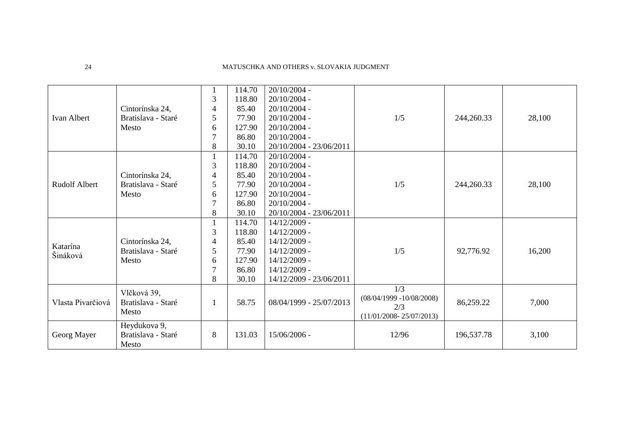|                      |                    |                | 114.70 | 20/10/2004 -            |                             |            |        |
|----------------------|--------------------|----------------|--------|-------------------------|-----------------------------|------------|--------|
|                      |                    | 3              | 118.80 | $20/10/2004$ -          |                             |            |        |
|                      | Cintorínska 24,    | 4              | 85.40  | $20/10/2004$ -          |                             |            |        |
| Ivan Albert          | Bratislava - Staré | 5              | 77.90  | $20/10/2004$ -          | 1/5                         | 244,260.33 | 28,100 |
|                      | Mesto              | 6              | 127.90 | $20/10/2004$ -          |                             |            |        |
|                      |                    | $\overline{7}$ | 86.80  | $20/10/2004$ -          |                             |            |        |
|                      |                    | 8              | 30.10  | 20/10/2004 - 23/06/2011 |                             |            |        |
|                      |                    |                | 114.70 | $20/10/2004$ -          |                             |            |        |
|                      |                    | 3              | 118.80 | $20/10/2004$ -          |                             |            |        |
|                      | Cintorínska 24,    | 4              | 85.40  | 20/10/2004 -            |                             |            |        |
| <b>Rudolf Albert</b> | Bratislava - Staré | 5              | 77.90  | $20/10/2004$ -          | 1/5                         | 244,260.33 | 28,100 |
|                      | Mesto              | 6              | 127.90 | $20/10/2004$ -          |                             |            |        |
|                      |                    | $\overline{7}$ | 86.80  | $20/10/2004$ -          |                             |            |        |
|                      |                    | 8              | 30.10  | 20/10/2004 - 23/06/2011 |                             |            |        |
|                      |                    |                | 114.70 | 14/12/2009 -            |                             |            |        |
|                      |                    | 3              | 118.80 | 14/12/2009 -            |                             |            |        |
|                      | Cintorínska 24,    | 4              | 85.40  | 14/12/2009 -            |                             |            |        |
| Katarína<br>Šináková | Bratislava - Staré | 5              | 77.90  | 14/12/2009 -            | 1/5                         | 92,776.92  | 16,200 |
|                      | Mesto              | 6              | 127.90 | 14/12/2009 -            |                             |            |        |
|                      |                    | 7              | 86.80  | 14/12/2009 -            |                             |            |        |
|                      |                    | 8              | 30.10  | 14/12/2009 - 23/06/2011 |                             |            |        |
|                      | Vlčková 39,        |                |        |                         | 1/3                         |            |        |
| Vlasta Pivarčiová    | Bratislava - Staré | 1              | 58.75  | 08/04/1999 - 25/07/2013 | $(08/04/1999 - 10/08/2008)$ | 86,259.22  | 7,000  |
|                      | Mesto              |                |        |                         | 2/3                         |            |        |
|                      |                    |                |        |                         | $(11/01/2008 - 25/07/2013)$ |            |        |
|                      | Heydukova 9,       |                |        |                         |                             |            |        |
| Georg Mayer          | Bratislava - Staré | 8              | 131.03 | 15/06/2006 -            | 12/96                       | 196,537.78 | 3,100  |
|                      | Mesto              |                |        |                         |                             |            |        |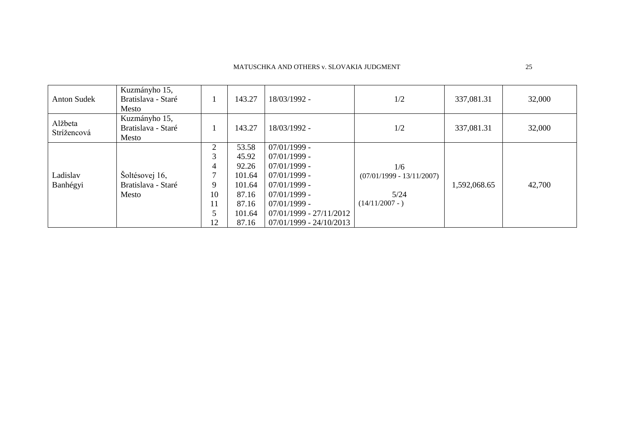| <b>Anton Sudek</b>     | Kuzmányho 15,<br>Bratislava - Staré<br>Mesto  |                                                                                   | 143.27                                                                           | 18/03/1992 -                                                                                                                                                                         | 1/2                                                             | 337,081.31   | 32,000 |
|------------------------|-----------------------------------------------|-----------------------------------------------------------------------------------|----------------------------------------------------------------------------------|--------------------------------------------------------------------------------------------------------------------------------------------------------------------------------------|-----------------------------------------------------------------|--------------|--------|
| Alžbeta<br>Strížencová | Kuzmányho 15,<br>Bratislava - Staré<br>Mesto  |                                                                                   | 143.27                                                                           | 18/03/1992 -                                                                                                                                                                         | 1/2                                                             | 337,081.31   | 32,000 |
| Ladislav<br>Banhégyi   | Šoltésovej 16,<br>Bratislava - Staré<br>Mesto | $\overline{2}$<br>3<br>$\overline{4}$<br>$\mathbf{r}$<br>9<br>10<br>11<br>5<br>12 | 53.58<br>45.92<br>92.26<br>101.64<br>101.64<br>87.16<br>87.16<br>101.64<br>87.16 | $07/01/1999$ -<br>$07/01/1999$ -<br>$07/01/1999$ -<br>$07/01/1999$ -<br>$07/01/1999$ -<br>$07/01/1999$ -<br>$07/01/1999$ -<br>$07/01/1999 - 27/11/2012$<br>$07/01/1999 - 24/10/2013$ | 1/6<br>$(07/01/1999 - 13/11/2007)$<br>5/24<br>$(14/11/2007 - )$ | 1,592,068.65 | 42,700 |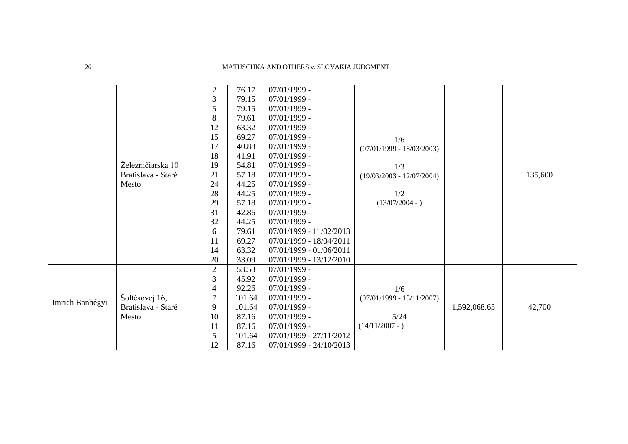|                 |                    | $\overline{2}$ | 76.17  | $07/01/1999$ -            |                             |              |         |
|-----------------|--------------------|----------------|--------|---------------------------|-----------------------------|--------------|---------|
|                 |                    | 3              | 79.15  | $07/01/1999$ -            |                             |              |         |
|                 |                    | 5              | 79.15  | $07/01/1999$ -            |                             |              |         |
|                 |                    | 8              | 79.61  | $07/01/1999$ -            |                             |              |         |
|                 |                    | 12             | 63.32  | $07/01/1999$ -            |                             |              |         |
|                 |                    | 15             | 69.27  | $07/01/1999$ -            | 1/6                         |              |         |
|                 |                    | 17             | 40.88  | $07/01/1999$ -            | $(07/01/1999 - 18/03/2003)$ |              |         |
|                 |                    | 18             | 41.91  | $07/01/1999$ -            |                             |              |         |
|                 | Železničiarska 10  | 19             | 54.81  | $07/01/1999$ -            | 1/3                         |              |         |
|                 | Bratislava - Staré | 21             | 57.18  | $07/01/1999$ -            | $(19/03/2003 - 12/07/2004)$ |              | 135,600 |
|                 | Mesto              | 24             | 44.25  | $07/01/1999$ -            |                             |              |         |
|                 |                    | 28             | 44.25  | $07/01/1999$ -            | 1/2                         |              |         |
|                 |                    | 29             | 57.18  | $07/01/1999$ -            | $(13/07/2004 - )$           |              |         |
|                 |                    | 31             | 42.86  | $07/01/1999$ -            |                             |              |         |
|                 |                    | 32             | 44.25  | $07/01/1999$ -            |                             |              |         |
|                 |                    | 6              | 79.61  | 07/01/1999 - 11/02/2013   |                             |              |         |
|                 |                    | 11             | 69.27  | 07/01/1999 - 18/04/2011   |                             |              |         |
|                 |                    | 14             | 63.32  | 07/01/1999 - 01/06/2011   |                             |              |         |
|                 |                    | 20             | 33.09  | 07/01/1999 - 13/12/2010   |                             |              |         |
|                 |                    | $\overline{2}$ | 53.58  | $07/01/1999$ -            |                             |              |         |
|                 |                    | 3              | 45.92  | $07/01/1999$ -            |                             |              |         |
| Imrich Banhégyi |                    | 4              | 92.26  | $07/01/1999$ -            | 1/6                         |              |         |
|                 | Šoltésovej 16,     | 7              | 101.64 | $07/01/1999$ -            | $(07/01/1999 - 13/11/2007)$ |              |         |
|                 | Bratislava - Staré | 9              | 101.64 | $07/01/1999$ -            |                             | 1,592,068.65 | 42,700  |
|                 | Mesto              | 10             | 87.16  | $07/01/1999$ -            | $5/24$                      |              |         |
|                 |                    | 11             | 87.16  | $07/01/1999$ -            | $(14/11/2007 - )$           |              |         |
|                 |                    | 5              | 101.64 | 07/01/1999 - 27/11/2012   |                             |              |         |
|                 |                    | 12             | 87.16  | $07/01/1999 - 24/10/2013$ |                             |              |         |